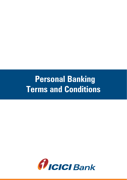# **Personal Banking Terms and Conditions**

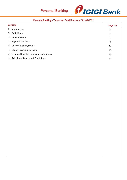

### **Personal Banking - Terms and Conditions w.e.f 01-05-2022**

| <b>Sections</b> |                                          |                  |
|-----------------|------------------------------------------|------------------|
|                 | A. Introduction                          | $\sqrt{3}$       |
| В.              | Definitions                              | $\mathbf{3}$     |
| C.              | <b>General Terms</b>                     | 5                |
|                 | D. Payment services                      | $\boldsymbol{9}$ |
| Ε.              | Channels of payments                     | 14               |
| F.              | Money Transfers to India                 | $15\,$           |
|                 | G. Product Specific Terms and Conditions | 16               |
|                 | H. Additional Terms and Conditions       | 17               |
|                 |                                          |                  |
|                 |                                          |                  |
|                 |                                          |                  |
|                 |                                          |                  |
|                 |                                          |                  |
|                 |                                          |                  |
|                 |                                          |                  |
|                 |                                          |                  |
|                 |                                          |                  |
|                 |                                          |                  |
|                 |                                          |                  |
|                 |                                          |                  |
|                 |                                          |                  |
|                 |                                          |                  |
|                 |                                          |                  |
|                 |                                          |                  |
|                 |                                          |                  |
|                 |                                          |                  |
|                 |                                          |                  |
|                 |                                          |                  |
|                 |                                          |                  |
|                 |                                          |                  |
|                 |                                          |                  |
|                 |                                          |                  |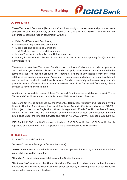

#### A. Introduction

These Terms and Conditions (Terms and Conditions) apply to the services and products made available to you, the customer, by ICICI Bank UK PLC (we or ICICI Bank). These Terms and Conditions should be read in conjunction with the:

- Debit Card Terms and Conditions;
- Internet Banking Terms and Conditions;
- Mobile Banking Terms and Conditions;
- Text Alert Service Terms and Conditions;
- Money Transfer to India Account Holders; and our

• Privacy Policy, Website Terms of Use, the terms on the Account opening form(s) and the Remittance Form.

These are our standard Terms and Conditions on the basis of which we provide our products and services to you and these Terms and Conditions apply unless they are inconsistent with the terms that apply to specific products or Account(s). If there is any inconsistency, the terms relating to the specific products or Accounts will take priority and apply. For your own benefit and protection you should read these Terms and Conditions carefully and retain a copy in a safe place for future reference. If you do not understand any of the Terms and Conditions, please contact us for further information.

Additional or up-to-date copies of these Terms and Conditions are available on request. These Terms and Conditions are also available on our Website and in our Branches.

ICICI Bank UK Plc. is authorised by the Prudential Regulation Authority and regulated by the Financial Conduct Authority and Prudential Regulation Authority (Registration Number: 223268). It is subject to the laws of England and Wales. Its registered office is One Thomas More Square, London E1W 1YN.. We are a member of the Financial Services Compensation Scheme established under the Financial Services and Market Act 2000. Our VAT number is 820 4369 48.

ICICI Bank UK PLC is a 100% owned subsidiary of ICICI Bank Limited. ICICI Bank Limited is regulated and authorised to take deposits in India by the Reserve Bank of India.

#### B. Definitions

In these Terms and Conditions:

"Account" means a Savings or Current Account(s);

"ATMs" means an automated teller or cash machine operated by us or by someone else, where your debit card will be accepted.

"Branches" means branches of ICICI Bank in the United Kingdom.

"Business Day" means, in the United Kingdom, Monday to Friday, except public holidays. Saturday is also treated as a non-Business Day for payments, even though some of our Branches are open for business on Saturdays.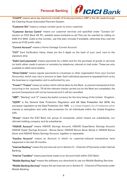

"CHAPS" means same day electronic transfer of funds payments in GBP in the UK made through the Clearing House Automated Payment System.

"Customer IDs" means a unique number given to every customer.

"Customer Service Centre" means our customer services unit specified under "Contact Us" section on ICICI Bank UK Plc. website (www.icicibank.co.uk).This can be reached by calling on 0344 412 4444. (Calls to this number, use free plan minutes if available, otherwise they cost the same as 01/02 prefix calls.)

"Current Account" means a Home Vantage Current Account

"CVV" Card Verification Value, these are the 3 digits on the back of your card, next to the signature strip

"Debit Card payments" means payments by a debit card for the purchase of goods or services (or both) either made in person or remotely by telephone, internet or mail order. These are only available to debit card holders.

"Direct Debits" means regular payments to a business or other organisation from your Current Account(s), which may vary in amount or date. Each individual payment is requested from us by the business or organisation and is authorized by you.

"Frozen"/ "Freeze" means an action which will be taken by the Bank to prevent transactions from occurring in the account. Till all the relevant checks carried out by the Bank are completed, the account transactions will not be honoured and it will be cancelled.

"GBP", "Sterling" and "£" means the lawful currency for the time being of the United Kingdom.

"GDPR" is the General Data Protection Regulation and UK Data Protection Act 2018, the successor regulation to the Data Protection Act 1998 is a United Kingdom Act of Parliament which intends to strengthen and unify data protection for all individuals within the United Kingdom (UK).

"Group" means the ICICI Bank Ltd. group of companies, which means our subsidiaries, our ultimate holding company and its subsidiaries.

"HiSAVE Account" means HiSAVE Savings Account, HiSAVE SuperSaver Savings Account HiSAVE Super Savings Account – Bonus Saver, HiSAVE Bonus Saver Series 2, HiSAVE Bonus Saver and HiSAVE Notice Savings Account, together or separately.

"Inactive Account" means an Account in which no customer-induced transactions have happened in the last 24 months.

"Internet Banking" means the services set out in Section D – Channel of Payments under Internet Banking

"Internal Transfers" means payments made to an Account held within ICICI Bank.

"Mobile Banking App" means the software you download to use our Mobile Banking Services

"Mobile Banking Services" means the services set out in Section D – Channel of Payments under Mobile Banking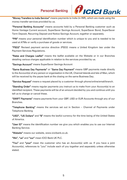

"Money Transfers to India Service" means payments to India (in INR), which are made using the money transfer services provided by us.

"Personal Banking Accounts" means accounts held by a Personal Banking customer such as Home Vantage Current account, SuperSaver Savings Account, SuperSaver Bond, SuperSaver Term Deposit, Recurring Deposit and Notice Savings Account, together or separately.

"PIN" means your personal identification number which is unique to you and is needed to be used at ATMs or verify a purchase of goods or services.

"PSD2" Revised payment service directive (PSD2) means a United Kingdom law under the Payment Services Regulations.

"Rates and Charges Leaflet" means the leaflet available on the Website or in our Branches detailing various charges applicable in relation to the services provided by us.

"Savings Account" means SuperSaver Savings Account

"Same Business Day Payments" or "Same Day Payment" means GBP payments made directly to the Account(s) of any person or organisation in the UK, Channel Islands and Isle of Man, which will be received by the payee bank at the closing on the same Business Day.

"Service Request" means a request placed by a customer through phone/online/email/branch.

"Standing Order" means regular payments you instruct us to make from your Account(s) to an identified recipient. These payments will be of an amount decided by you and continue until you tell us to change or cancel these.

"SWIFT Payments" means payments from your GBP, USD or EUR Accounts through any of our Branches.

"Telephone Banking" means the services set out in Section – Channel of Payments under Telephone Banking

"USD", "US Dollars" and "\$" means the lawful currency for the time being of the United States of America.

"User ID" means the identification number we give you which enables you to use our Internet Banking Service.

"Website" means our website, www.icicibank.co.uk.

"We", "us" and "our" mean ICICI Bank UK PLC.

"You" and "your" mean the customer who has an Account(s) with us. If you have a joint Account(s), references to "you" include each of you together and separately unless otherwise stated.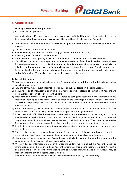

#### C. General Terms:

#### 1. Opening a Personal Banking Account:

- 1) Accounts can be opened by:
- An individual aged 18 or over; who are legal residents of the United Kingdom (UK), or India. If you cease to be eligible for the account, we may close it. (See condition 12 - Closing your Account)
- Two individuals in their joint names. We may allow up to a maximum of five individuals to open a joint Account.
- 2) You can open a Current Account with us:
- By downloading ICICI Bank UK I mobile app (available on Android and IOS),
- By visiting www.icicibank.co.uk website, or
- Complete an Account opening application form and submit at any of ICICI Bank UK Branches.
- You will be asked to provide independent documentary evidence of your identity and/or current address for fraud prevention and to comply with anti-money laundering regulations purposes. You will also be asked to confirm your tax residency for compliance with tax reporting legislation. The documents listed in the application form are not an exhaustive list and we may need you to provide other documents and/or information. We are also entitled to decline to open an Account.

#### 2. For Joint Accounts

- 1) Any one of you may give instructions on the Account, including withdrawing the full balance, unless specified otherwise.
- 2) Any one of you may request information or enquire about any details on the joint Account.
- 3) Requests for additional Account opening in joint names as well as closure of existing joint Account, will need authorization by all joint Account holders.
- 4) Debit card and Internet Banking services are offered to each joint Account holder separately and any instructions relating to these services must be made by the relevant joint Account holder. For example, we will not accept a request to re-issue a debit card to a secondary Account holder if made by the primary Account holder.
- 5) All Account holder (s) will be jointly and severally liable for the Account or any money owed to us. This even applies if your relationship breaks down or, if applicable, you get divorced.
- 6) If in case of such difficulties, between you, one or both of you should contact us in writing and notify us that the relationship has broken down or inform us about the divorce. On receipt of such notice we will only accept instructions which have been authorised, by all the joint holders. We will not be responsible for any transactions made or instructions given by either of you prior to receipt of such notice.
- 7) If both of you agree in writing, a joint Account can be transferred into an individual Account in the name of one of you.
- 8) You can also request us to close the Account or for one or more of the Account holders' name to be removed from the Account. Such request needs to be authorised by all Account holder/s.
- 9) There may be instances when your Account may be blocked. This may happen, for example, in the circumstances of the Account holders becomes bankrupt.
- 10)We may disclose information to any of the Account holder/s we hold about the Account(s), such as information contained in your old bank Account statements. This means that where a sole Account is converted into a joint Account, information relating to the Account when it was a sole Account may be made available to any of the joint Account holders.
- 11)If any one of the Account Holder dies, the Account will be operated by the survivor(s).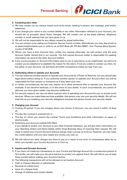

#### 3. Contacting each other:

- 1) We may contact you by various means such as by email, meeting in person, text message, post and/or telephone.
- 2) If you change your name or any contact details or any other information relevant to your Account, you should tell us promptly about those changes. We will contact you at the latest address, telephone number or email address that you have given to us.
- 3) We will not be responsible for any delays caused by postal authorities.
- 4) You can contact us by calling our Customer Service Centre number. Alternatively you may also email us at ukservice@icicibank.com or write to us at ICICI Bank UK, PO Box 68921, One Thomas More Square, London E1W 9HB.
- 5) Where you have a joint Account then, unless you request otherwise, we will contact only the joint Account holder named first in our records. The first named Account holder is responsible for passing information we send to the other Account holders.
- 6) If any communication or Account information sent to you is returned to us as undelivered, we will try to contact you by telephone to establish the reason for the return. If we are unable to contact you then, for the safety of your Account, we will block all further transactions unless we hear from you.

#### 4. Authorising others to operate your Accounts

- 1) You can authorise another person to operate your Accounts by a Power of Attorney, but you should take legal advice before doing so. If you authorise another person to operate your Account then you will be responsible for their actions or omissions as if they were your own.
- 2) In certain circumstances, the law may require us to allow someone else to operate your Account (for example, if you become bankrupt, or in the event of your death). In such circumstances, any power of attorney you have given earlier may become ineffective.
- 3) For security reasons, we may not allow a person who is operating your Account for you, to access some services. Where we make these services available, that person may use your security details. We will not treat this as you breaking your security obligations because the person knows your security details.

#### 5. Changing your Account

- 1) Cooling off period: If you are unhappy about your choice of Account, you can cancel it within 14 days of:
- The day the contract is entered into or
- The day on which you receive the contract Terms and Conditions and other information on paper or electronically.
- 2) Switching your Account outside ICICI Bank

If you decide to switch your Account to any other financial institution, we will give them information on your Standing Orders and Direct Debits within three Business Days of receiving their request. We will close or switch your Current Account without charge, when you ask us to do so. However, we may retain any credit balance until you have repaid any money you owe us.

3) We will refund any bank charges you have to pay as a result of any error or unnecessary delay by us when you transfer your Current Account to or from us.

#### 6. Inactive and Dormant Accounts

- 1) If you have not made any transactions on your Current and Savings Account for a consecutive period of 24 months, we will make your Account Inactive to protect you against fraud. We will inform you at least three months before making your Account Inactive.
- 2) The following transactions will not be allowed on an Inactive Account:
- Cash or Cheque deposits or withdrawals
- Renewal of a Debit Card
- Issue of a cheque book
- Change of address and contact details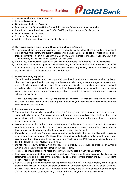

- Transactions through Internet Banking
- Password reissuance
- Operation on the linked Account
- Fund transfers by Standing Order, Direct Debit, Internet Banking or manual instruction
- Inward and outward remittance by CHAPS, SWIFT and Same Business Day Payments
- Opening up another Account
- Setting up Standing Orders
- Adding a joint Account holder to an existing Account.
- 3) No Physical Account statements will be sent for an Inactive Account.
- 4) To activate an Inactive/ Dormant Account, you will need to visit any of our Branches and provide us with proof of your valid Identity and current address. Alternatively, you can also send certified true copies of these documents to us at ICICI Bank UK, PO Box 68921, One Thomas More Square, London, E1W 9HB. To know more, Please call us on Customer Service Centre.
- 5) Your money in an Inactive Account will always be your property no matter how many years pass.
- 6) Your Account will become legally dormant if no activity is initiated by you for a period of 15 years. It will then be governed by the provisions of Dormant Bank and Building Society Accounts Act 2008. If you ask us, we will tell you how to access your dormant Account.

#### 7. Money laundering regulations

You will need to provide us with valid proof of your identity and address. We are required by law to check and verify your identity. We may do this electronically, using a reference agency, or ask you to provide for documentary evidence. We will check your identity when you apply to open an Account with us and may also do so at any time while you hold an Account with us or we provide you with services. We may delay or decline to process your application or provide any service until we have received a satisfactory evidence.

To meet our obligations we may ask you to provide documentary evidence of source of funds or source of wealth in connection with the opening and running of your Account or in connection with any transaction on your Account.

#### 8. Important security information

- 1) You must take all reasonable precautions to keep safe and prevent the fraudulent use of your cards and security details (including PINs, passcodes, security numbers, passwords or other details such as those which allow you to use Internet Banking, Mobile Banking and Telephone Banking). These precautions include the following:
- Always change the PIN or other security details we may send you and immediately destroy the slip giving you the information; never allow anyone else to use your card, PIN, passcode or other security details. If you do, you will be responsible for the money taken from your Account.
- Do not keep a note of your PIN or passcode or other security details where anyone else might recognise it, for example by writing your PIN/ passcode and/or other security details on or keeping them with your card or other bank documents. If you think someone else knows your PIN, password, passcode or other security details please contact us immediately.
- Do not choose security details which are easy to memorise such as sequences of letters, or numbers which may be easy to guess, for example your date of birth.
- Take care to ensure that no one hears or sees your security details when you use them.
- Keep card receipts and other information about your Account containing personal details (such as statements) safe and dispose off them safely. You should take simple precautions such as shredding paper containing such information.
- 2) If any card, cheque book or Internet Banking related security details are lost or stolen, or you suspect that someone has used or tried to use them, you must tell us without delay by calling us on our Customer Service Centre. To help us continually improve our services, in the interests of security and to comply with our regulatory obligations, we may monitor and/or record your telephone calls with us.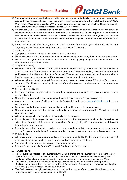

- 3) You must confirm in writing the loss or theft of your cards or security details. If you no longer require your card and/or any unused cheques, then you must return them to us at ICICI Bank UK PLC, PO Box 68921, One Thomas More Square, London E1W 9HB, or you should destroy them. Cards should be cut diagonally across the magnetic strip into at least four pieces to destroy them.
- 4) We may ask you to co-operate with us and the police in relation to any investigation into the actual or suspected misuse of your card and/or Accounts. We recommend that you report any unauthorised transactions to the police within seven days. We may also disclose information about you or your Account to the police or other third parties like other law enforcement agencies if we think it will help prevent or recover losses.
- 5) If you find your card after having reported it lost, you must not use it again. You must cut the card diagonally across the magnetic strip into at least four pieces to destroy it.
- 6) Cards and PINs
- Sign your card on the signature strip as soon as you receive it.
- Never disclose the PIN or card security codes to anyone, except when using the cards to make payments.
- Do not disclose your PIN for mail order payments or when paying for goods and services over the telephone or through the internet.
- 7) Telephone Banking
- When you will call us, we will confirm your identity using our security procedures (such as answers to questions about you) or when we request you to input your Telephone Banking passcode for automated verification on the IVR (Interactive Voice Response). We may not be able to assist you if we are unable to identify you as our customer since this is to protect the security of your Account.
- When we call you, we will never ask for details of your password, passcodes or PIN to identify you as our customer. We will ask you questions based on information known to us about you and the transactions on your Account.
- 8) Personal Internet Banking
- Keep your personal computer safe and secure by using an up-to-date anti-virus, spyware software and a personal firewall.
- Never disclose your online banking password. We will never ask you for your password.
- Always access our Internet Banking by typing the Bank website address i.e[. www.icicibank.co.uk,](http://www.icicibank.co.uk/) into your web browser.
- Do not access the Banks website from any link mentioned in any email or any message.
- Never respond to any email that asks for confidential or personal security information. We will never send you such an email.
- When shopping online, only make a payment via secure websites.
- If possible, avoid disclosing sensitive Account information when using computers in public places/ Internet cafes. If this is not possible, take extra precautions. Ensure you log off your secure personal Account before leaving any computer.
- Please be aware that if you intentionally pass on your security details to any person you will be in breach of your Terms and may be liable for any unauthorised transactions that occur on your Account as a result.
- 9) Mobile Banking
- While using Mobile banking, you must keep your security details (like M-PIN, pin numbers, passwords) undisclosed and take steps to prevent unauthorised or fraudulent use of them.
- You must close the Mobile banking app if you are not using it.
- Please refer to our Mobile Banking Terms and Conditions for further details.

#### 9. Crypto Assets

- To safeguard the interest of our customers, the Bank is prohibiting its customers from dealing in any type of virtual/crypto currencies ("VCs") or provide services for facilitating anybodyin dealing with or settling of VCs including transfer/receipt of money in accounts relating to purchase/sale of VCs.
- This also includes your relationships with cryptoasset exchanges and custodian wallet providers. Additionally, relationships with customers (Retail, Business and Corporate) involving any virtual/digital currencies (i.e. cryptoassets) will not be maintained.
- The Bank reserves the right to close your account, with a notice (refer to clause 12), if the account is found to be used in such transactions related to VC.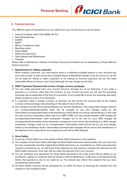

#### D. Payment Services

The different types of transactions you can make from your Current Account are as below:

- Internal Transfers within ICICI BANK UK PLC.
- Same Business Day
- CHAPS
- SWIFT
- Money Transfers to India
- Standing orders
- Direct Debits
- Debit Card payments
- Cash Deposit and Withdrawals
- Cheques

Please refer to Definitions in Section A of these Terms and Conditions for an explanation of these different kinds of payment.

#### 1. Requirements for making a payment:

When making a payment, you must ensure there is a sufficient available balance in your Account and you must provide us with correct and complete Payee or Beneficiary details. If you do not do so, we will not be liable for failing to make a payment or for making an incorrect payment, but we will make reasonable efforts to recover your funds (although we may charge you for this).

#### 2. SWIFT Payments (Payments that involve a foreign currency exchange):

- 1) You can make payments from your Current Account, through any of our Branches. If you make a payment in a currency other than the currency of your Current Account, we will use the prevailing exchange rate as applicable at the time of conversion. If you would like to know the exchange rate used, please contact us at any of our Branches.
- 2) If a payment made in another currency is returned, we will convert the amount back to the original currency at the exchange rate prevailing on the date of return of funds.
- 3) Any charges incurred will be shared between you and the beneficiary. This means that charges made by our correspondent/intermediary bank will be charged to you and charges made by the intermediary/correspondent bank of the beneficiary's bank will be incurred by the beneficiary. In the case of cross currency transactions (other than from GBP to INR), you may choose between OUR charges (all correspondent/intermediary bank transaction charges are to be met by you), BEN charges (all correspondent/intermediary bank transaction charges are to be met by the beneficiary) or SHA charges (transaction charges made by our correspondent/ intermediary bank will be met by you and charges made by the beneficiary bank's intermediary/correspondent charges will be met by the beneficiary). In the absence of any instructions, the charges incurred will be SHA (Shared).

#### 3. Direct Debits:

- 1) To set up a Direct Debit you must submit a Direct Debit instruction to the recipient.
- 2) The recipient of the Direct Debit will lodge the Direct Debit instruction electronically onto your Account but may occasionally send the original Direct Debit instruction you completed to us. When each payment request is received by us, we will check if the reference for that payment matches the reference on the Direct Debit instruction. Only then will we make the payment from your Account.
- 3) You can withdraw your agreement for Direct Debit payments to be made at any time by telling us via any Branch, calling our Customer Service Centre or Internet Banking by 12:00 noon on the Business Day before that payment is due to be made by us. You should also inform the recipient that you have cancelled the Direct Debit.
- 4) All Direct Debits received will be processed by us within 24 hours of receiving the request from the recipient or the recipient's bank.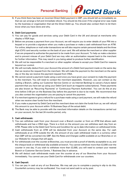

5) If you think there has been an incorrect Direct Debit payment in GBP, you should tell us immediately so that we can arrange a full and immediate refund. You should do this even if the original error was made by the business or organisation that set the Direct Debit up. You should also contact them to let them know what you have done and why.

#### 4. Debit Card payments:

- 1) You can pay for goods and services using your Debit Card in the UK and abroad at merchants who display a VISA logo.
- 2) Before we process a payment from your Account, we will require you to enter details of your PIN into a keypad or to provide a signature when you make a purchase or make a cash withdrawal from an ATM. For online, telephone or mail order transactions we will also require certain personal details and the three digit (CVV) card security number on the back of your card. We will advise the merchant or other supplier if we are prepared to authorise the payment to be made from your Account. To help us make a decision and to prevent misuse of your Debit Card we may refer an authorisation request back to the merchant for further information. This may result in you being asked to produce further identification.
- 3) We will not be responsible if a merchant or other supplier refuses to accept your Debit Card for reasons beyond our control.
- 4) We will normally deduct from your Account the amount of a Debit Card payment made on the same day that we receive the request from the merchant. We will make the payment to the merchant on the same day or the day we receive the payment request from VISA.
- 5) We cannot cancel a payment made using a card once you have given your consent to make the payment to the merchant. You will need to contact the merchant separately. However, you can contact us (by visiting a Branch, calling our Customer Service Centre or via Internet Banking) to cancel a future dated payment that you have set up using your Debit Card (such as magazine subscriptions). These payments are also known as 'Recurring Payments' or 'Continuous Payment Authorities'. You can do this at any time before 3:00 pm on the Business Day before the payment is due to be made. We recommend that you also contact the organisation you are paying to cancel the payment.
- 6) If a merchant agrees to give a refund for a purchase made using a card payment, we will make the refund when we receive clear funds from the merchant.
- 7) If you make a payment by Debit Card and the merchant does not claim the funds from us, we will refund this amount to your Account within 15 Business Days of the actual debit.
- 8) The Bank may be able to provide with the merchant information details on the transactions carried out on your account, for the last 24 months period, only.

#### 5. Cash withdrawals:

- 1) You can withdraw cash from your Account over a Branch counter or from an ATM that allows cash withdrawals and has a VISA logo. There is a limit on the amount you can withdraw each day from an ATM. Please refer to the Debit Card Terms and Condition for up to date information on withdrawal limits.
- 2) Cash withdrawals from an ATM will be deducted from your Account on the same day. For cash withdrawals at an ATM outside the UK, the amount of any cash withdrawal made in a currency other than GBP will be converted into GBP. See the Rates and Charges Leaflet available at our Branches or on our Website for charges that will apply.
- 3) For withdrawals over the counter at Branches, you must provide a proof of identity acceptable to us, and the cheque book or withdrawal slip available at branch. You cannot withdraw more than £2,000 over the counter in one day. If you wish to withdraw more than £2,000, you will need to contact your nearest Branch or Customer Service Centre, 1 Business Day in advance.
- 4) We will deduct cash withdrawals made over the counter at any of our Branches from your Account immediately. You cannot use your Debit Card for withdrawals over our counters.

#### 6. Cash Deposit:

1) You can pay in cash at any of our Branches. We may ask you to complete a paying-in slip to do this. Counterfeit currency may be confiscated. You must not send cash to us by post.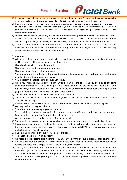

- 2) If you pay cash at one of our Branches, it will be added to your Account and treated as available immediately. It will be treated as cleared for interest calculation purposes on the same day.
- 3) If you use one paying-in slip to pay a mixture of cash and cheques into your Account over the counter at one of our Branches, the cash will be credited to your Account and will be available for you to withdraw and will start earning interest (if applicable) from the same day. Please see paragraph 8 below for the treatment of cheques.
- 4) Other banks may allow you to pay in cash to your Account through their branches. The credit will appear in the balance of your Account Three Business Days later. The cash is treated as cleared for interest calculation purposes (if applicable) two Business Days after it has been paid in at the other Bank.
- 5) There is no threshold or minimum amount for a cash deposit which requires proof of funds however there will be instances when a cash deposit may require further due diligence. In such cases we may request evidence of source of funds to be provided

#### 7. Cheques:

- 1) When you write a cheque you must take all reasonable precautions to prevent anyone else altering it or making a forgery. This includes (but is not limited to):
- Using black ink which cannot be erased
- Never leaving a gap between words or figures
- Never signing a cheque before you use it
- You should draw a line through the unused space on the cheque so that it will prevent unauthorised people adding extra numbers and names
- You must sign all alterations to cheques you issue.
- 2) When you write a cheque you must clearly write the name of the payee and you should also put some additional information, as this will help us to prevent fraud. If you are paying the cheque to a large organisation, financial institution, Bank or building society you may add further details on the payee line (e.g. H M Revenue and Customs re. XYZ (reference number).
- 3) You can write cheques only in the currency of your Account.
- 4) You should not issue a future dated cheque. If you do so and the cheque is presented to us before that date, we will not pay it.
- 5) If we receive a cheque issued by you that is more than six months old, we may decline to pay it.
- 6) We may decide not to pay a cheque if:
- There is not enough money in your Account or
- The check has a technical irregularity (for example there is a difference in the amount in words and figures, or the signature is different to that held in our records) or
- We have reasonable grounds to suspect fraudulent activity.
- 7) You must tell us as soon as possible if you become aware that any cheque has been lost or stolen.
- 8) If you issue a cheque and it is deposited outside the UK, we will deduct charges which we incur for transferring the money to the beneficiary. These charges may include SWIFT or foreign currency demand draft charges and postal charges.
- 9) If you ask us to "stop" a cheque we will do so, provided:
- The cheque has not been paid already
- We receive the request to stop it before 11:00 am on the day the cheque is presented for payment and
- You have provided sufficient details for us to identify the transaction, for example cheque number. Please refer to our Rates and Charges Leaflet for the stop payment charges
- 10)When you issue a cheque from your Account, the amount will be deducted from your Account Two Business Days after the beneficiary deposits the cheque into their Account. For example, a cheque paid in on a Monday will be deducted from your Account on Wednesday. More time may be needed for a cheque paid into a building society Account or any bank outside England or Wales or any Account held at a non-clearing bank.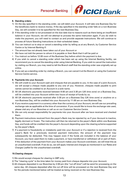

#### 8. Standing orders:

- 1) On the day specified in the standing order, we will debit your Account. It will take one Business Day for the beneficiary bank to receive money. If the day specified in the standing order falls on a non-Business Day, we will consider it to be specified for the next Business Day.
- 2) If the standing order is not processed on the due date due to reasons such as there being an insufficient balance in your Account, we will not attempt to process the same instruction again. If you do wish to make the payment, you will need to contact us and provide separate instructions. We will continue to process all future Standing Instructions on their scheduled dates.
- 3) You can instruct us to stop or cancel a standing order by telling us at any Branch, by Customer Service Centre or by Internet Banking if:
- The amount has not already been taken out of your Account or
- We have not told the person to whom it is payable or their Bank that it will be paid or
- You instruct us before 12:00 noon of the Business Day before which the payment is due.
- 4) If you wish to cancel a standing order which has been set up using the Internet Banking facility, we recommend you to cancel the standing order using Internet Banking. If you wish to cancel the instruction by visiting our Branch, you may need to tell the Branch staff that the standing order was originally set up online.
- 5) If you set up a standing order by visiting a Branch, you can cancel it at the Branch or using the Customer Service Centre service.

#### 9. Payments into your Account:

- 1) We will credit to your Account cash and cheques that are payable to you. In the case of a joint Account, we will accept a cheque made payable to any one of you. However, cheques made payable to joint names cannot be credited to an Account in a sole name.
- 2) All UK electronic payments received between 9:00 am and 3:30 pm (UK time zone) on a Business Day, will be credited into your Account within two hours of receipt of funds by us.
- 3) All UK electronic payments received after 3:30 pm on a Business Day (UK time zone) or anytime on a non-Business Day, will be credited into your Account by 11:00 am on next Business Day.
- 4) If you receive a payment in a currency other than the currency of your Account, we will use our prevailing exchange rate as applicable at the time of conversion. If you would like to know the exchange rate used, please visit any of our Branches or call us on our Customer Service Centre.
- 5) We can only accept responsibility for payments into your Account after we have received and checked them.
- 6) Payment instructions received from the payer's Bank may be rejected by us if your Account is inactive, legally dormant or frozen. The instruction will then be returned to the payer's Bank within one Business Day, and funds will be credited into the payer's Account depending upon the clearing scheme supported by the payer's Bank.
- 7) If a payment is fraudulently or mistakenly paid into your Account or if a rejection is received from the payer's Bank for a previously received payment instruction, the amount of the payment may subsequently be deducted. This may happen even if the funds are included in the balance of your Account, you have used them to make a payment, or have transferred or withdrawn all or part of them. If the deduction of the payment from your Account makes your Account overdrawn, we will treat this as an unauthorised overdraft. If we do so, we will apply interest and charges as mentioned in our Rates and Charges Leaflet for the unauthorised overdraft.

#### 10.Clearing cheques:

- 1) We would accept cheques for clearing in GBP only.
- 2) The "clearing cycle" is the time taken for money paid from cheque deposits into your Account.
- 3) All cheques deposited in our Branches by 2:00 pm (the "cut off time") will be send for processing on the same day. All cheques deposited after the cut off time will be processed on the next Business Day and for the periods mentioned below will be treated as being received on the next Business Day.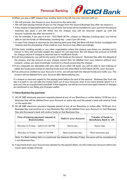

- 4) When you pay a GBP cheque from another bank in the UK into your Account with us:
- We will process the cheque in your Account on the same day.
- We will start paying interest (if any) on the cheque from the second Business Day after we receive it.
- If the cheque is deposited before the cut off time, the funds will be available for your use from the second business day (post 2 pm UK time); but the cheque may still be returned unpaid up until the second business day after we receive it.
- So, for example, if you pay in a non ICICI Bank UK Plc. cheque on Monday (working day), you will be able to use the funds on Wednesday (working day – post 2 pm UK time).
- In case if the cheque is returned by the clearing bank post that, the Bank will then further investigate the reasons and the processing of the credit to your Account may effect accordingly.
- 5) If the bank, building society or any other organisation where the cheque was drawn on, decides not to honour it, they will normally explain the reason for non-payment. We will deduct the amount of £15.00 for cheque returns if cheque is returned due to insufficient funds.
- 6) In all circumstances, you will be the owner of the funds on the second Business Day after the deposit of the cheque, and the amount of your cheque cannot then be debited from your balance without your consent; unless you were knowingly involved in a fraud concerning the cheque.
- 7) If any cheque(s) are deposited with giro slips at any other UK bank, you will be able to earn interest or utilise the funds post receipt of clearing funds from the other Bank to ICICI Bank UK Plc. your Account.
- 8) If an amount is credited to your Account in error, we will earmark the relevant funds and notify you. The amount will be debited from your Account after Banknotifying you.

If a cheque is returned unpaid by the paying bank before the end of the second Business Day from the day it is paid in, we can take the money back out of your Account, even if you have already spent it or it puts you into an unauthorised overdraft. If this happens, we will let you know and apply interest or charges as mentioned in our Rates and Charges Leaflet.

#### 11. Same Business Day payments

- 1) All UK GBP electronic payment requests placed at any of our Branches or online before 13:00 pm on a Business Day will be debited from your Account on same day and the payee's bank will receive funds on the same day.
- 2) All UK GBP electronic payment requests placed at any of our Branches or online after 13:00 pm on a Business Day and anytime on a non-Business Day will be debited from your Account on next Business Day and the payee's bank will receive funds on that Business Day.

| Time of placing payment request at<br><b>Branch/online</b> | Debit in your Account | <b>Transfer of funds to</b><br><b>Beneficiary Bank in UK</b> |
|------------------------------------------------------------|-----------------------|--------------------------------------------------------------|
| Monday to Friday - before 01:00 PM                         | Same day              | Same day                                                     |
| Monday to Friday - after 01:00 PM                          | Next business day     | Next business day                                            |

Note: If a Bank holiday falls on a particular day between Monday-Friday, the same will be considered as a non-Business Day.

3) If payments from your Account are rejected by the payee's Bank, we will credit your Account within two hours upon receipt of funds.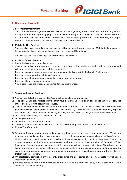

#### E. Channel of Payments

#### 1. Personal Internet Banking

You can make some payments like UK GBP electronic payments, Internal Transfers and Standing Orders through Internet Banking by logging in to your Account using your user ID and password. Please also refer to our Internet Banking Terms and Conditions. Our Internet Banking service and Mobile Banking is a simple, safe and convenient way to access and manage your Accounts online.

#### 2. Mobile Banking Services

You can also make immediate or next Business Day payment through using our Mobile Banking App. For further details, please refer to our Mobile Banking Terms and Conditions.

You can use the Mobile Banking App for the following services:

- Apply for Current Account
- Check the balances on your Accounts;
- View up to the last 10 transactions on your Accounts (transactions under processing will not be shown and will only be reflected once successfully completed);
- Carry out transfers between your Accounts which are displayed within the Mobile Banking App;
- Carry out payments within UK bank Accounts;
- Carry out any other additional service that we may provide in future;
- Carry out Money Transfers to India. You must not use the Mobile Banking App for any other purpose

#### 3. Telephone Banking Services

- 1) You can use Telephone Banking for Accounts held solely or jointly by you.
- 2) Telephone Banking is available, provided that your identity can be verified by speaking to a customer services officer and completing security procedures.
- 3) To use Telephone Banking, call our Customer Service Centre on 0344 412 4444 (calls to this number use free plan minutes if available, otherwise they cost the same as 01/02 prefix calls). To help us continually improve our services and in the interests of security, we may monitor and/or record your telephone calls with us.
- 4) Our Telephone Banking service enables you to:
- Obtain your balance
- Obtain details of recent transactions
- Speak with a Customer Service Officer in relation to other enquiries related to your Account.
- Money Transfer to India
- 5) Telephone Banking may be temporarily unavailable if we have to carry out routine maintenance. We will try to inform you in advance but it may not always be possible to do so. When you call us, we will confirm your identity using our security procedures, which may be such as answers to questions about your Account, or requesting you to input telephone banking passcode for automated verification on the IVR (Interactive Voice Response). On correct confirmation of this information we will act on your instructions. We advise you to keep your personal information safe and not to disclose it to third parties, as doing so could endanger the security of your Account. You must inform us without undue delay if you become aware of the any loss or theft of such information.
- 6) On satisfactory completion of the security procedures and acceptance of telecom mandate we will act on instructions given by you.
- 7) We may refuse to carry out any instructions if they are above a particular value, or if we believe there is a suspected breach of security.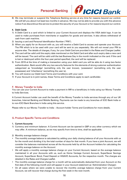

8) We may terminate or suspend the Telephone Banking service at any time for reasons beyond our control. We will tell you about it at least two months in advance. We may not be able to provide you with this advance notice if we discontinue this service to protect the security of your Account or for reasons beyond our control.

#### 4. Debit Cards

- 1) A Debit Card is a card which is linked to your Current Account and displays the VISA debit logo. It can be used to make purchases from merchants or suppliers for goods and services. It also allows withdrawal of cash from cash machine.
- 2) Issuing a card and Personal Identification Number ("PIN").
- 3) When you apply for an Account with us, you will receive a Debit Card to access and operate your Account. The PIN which is to be used with your card will be sent to you separately. We will not reveal your PIN to anyone else. The details of charges, if any, for your Debit Card are provided in the Rates and Charges Leaflet.
- 4) The card will be valid until the expiry date mentioned on the Debit Card and after such expiry date a new card will be issued. The card will be valid until the last Business Day in the month indicated on the card. If the card is lost or destroyed within the four-year period specified, the card will be replaced.
- 5) From 2019 at the time of making a transaction using your debit card you will be able do it using two-factor authentication. Bank would offer any two security features for the elements of strong customer authentication categorized as 'knowledge' (something only the user knows), 'possession' (something only the user possesses) and 'inheritance' (something the user is).
- 6) You will receive our Debit Card Terms and Conditions with your card.
- 7) If your Account is in joint names, these Terms and Conditions apply to each cardholder.

#### F. Money Transfer to India

You can use your Current Account to make a payment in INR to a beneficiary in India using our Money Transfer to India Services.

A Current Account holder can avail the benefit of the Money Transfer to India services through any of our UK branches, Internet Banking and Mobile Banking. Payments can be made to any branches of ICICI Bank India or to non-ICICI Bank Branches in India using this service.

Please refer to our Money Transfer to India – Account holder Terms and Conditions for more details.

#### G. Product Specific Terms and Conditions

#### 1. Current Accounts:

- 1) Currency and minimum balance: A Current Account can be opened in GBP or any other currency which we may offer. A minimum balance, as we may specify from time to time, shall be applicable.
- 2) Monthly average balance charge:
- The monthly average balance is calculated by adding your daily closing balance of all your Accounts with us for the month and dividing it by the total number of days for that month. If you have a joint Account, we will consider the balances maintained across all the Accounts held by all the Account holders for calculating the monthly average balance on the Account
- We will apply a monthly average balance charge on your Current Account, based on the average balance maintained in all your Accounts with us, such as Home Vantage Current Account, SuperSaver Savings Account, SuperSaver Bond, Fixed Deposit or HiSAVE Accounts, for the respective month. The charges are detailed in the Rates and Charges Leaflet.
- The monthly average balance charge for a month will be automatically deducted from your Account on the first date of the following month and will appear in your Account statement as 'Administration Charges'.
- On all cases where we were unable to recover the monthly average balance charge from your Current Account, we will recover that charge during the first week in the next month.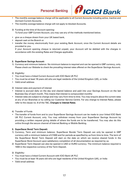

- The monthly average balance charge will be applicable to all Current Accounts including active, inactive and dormant Current Accounts.
- The monthly average balance charge will not apply to blocked Accounts.
- 3) Funding at the time of Account opening: To fund your GBP Current Account, you may use any of the methods mentioned below.
- give us a cheque drawn from your UK based bank,
- deposit cash at the Branch or
- transfer the money electronically from your existing Bank Account, once the Current Account details are provided to you.

If your Account opening cheque is returned unpaid, your Account will be debited with the charges in accordance with the existing Rates and Charges applicable.

#### 2. SuperSaver Savings Account:

- 1) Currency and minimum balance: No minimum balance is required and can be opened in GBP currency, only. Please check our Website to check the prevailing interest rates offered on the SuperSaver Savings Account.
- 2) Eligibility:
- You must have a linked Current Account with ICICI Bank UK PLC
- You must be at least 18 years old who are legal residents of the United Kingdom (UK), or India
- Valid email address
- 3) Interest rates and payment of interest
- Interest is accrued daily on the day end cleared balance and paid into your Savings Account on the last Business Day of each month. This means that interest is compounded monthly
- Interest rates are subject to change and may vary from time to time. You may enquire about the current rates at any of our Branches or by calling our Customer Service Centre. For any change to Interest Rates, please refer to the clause no. 8 of the T&C, Changes to Interest Rates.
- 4) Transfer of Funds
- The transfer of funds from and to your SuperSaver Savings Account can be made to your linked ICICI Bank UK PLC Current Account, only. You may withdraw money from your SuperSaver Savings Account by providing a written request giving details of where the funds are to be transferred. You may also do this online through the secure channel of Internet Banking or Mobile Banking.

#### 3. SuperSaver Bond/ Term Deposit:

- 1) Currency, Term and minimum balance: SuperSaver Bonds/ Term Deposit can only be opened in GBP currency with a minimum balance of £1000 and for periods as specified by us from time to time. The term of the SuperSaver Bond/ Term Deposit will start on the date on which we receive cleared funds in the SuperSaver Bond Account upon satisfactory completion of all documentation as required by us.
- 2) SuperSaver Term Deposit can also be opened in USD or EURO currency. The minimum balance required is 1000 in the respective currency of the Term Deposit.

#### 3) Eligibility:

- You must have a linked Current Account with ICICI Bank UK PLC
- You must be at least 18 years old who are legal residents of the United Kingdom (UK), or India
- Valid email address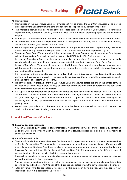

- 4) Interest rates
- Interest rate on the SuperSaver Bond(s)/ Term Deposit will be credited to your Current Account as may be prescribed by the Bank from time to time and for periods as specified by us from time to time.
- The Interest is accrued on a daily basis at the gross rate applicable at the time your Account is opened and is paid monthly, quarterly or annually into your linked Current Account depending upon the option chosen by you.
- Interest paid on SuperSaver Bond(s)/ Term Deposit is calculated as simple interest and not as compounded.
- On the date of maturity of the SuperSaver Bond/ Term Deposit, the maturity funds i.e. Principle + Interest, will be transferred to your linked Current Account.
- We would pre notify you about the maturity details of your SuperSaver Bond/ Term Deposit through a suitable means. The maturity details are also provided in your monthly Bank statements provided by us.
- The Super Saver Bond/ Term deposit will then not earn any interest from the day of maturity, as f the deposit will be closed and the funds will be credited to the linked ICICI Bank UK PLC. Current account.
- In case of SuperSaver Bond, the Interest rates are fixed at the time of account opening and no early withdrawals, closures or additional deposits are permitted during the term of your SuperSaver Bond.
- In case of SuperSaver Term deposit, early or partial withdrawal of the deposit is permissible, however there will be loss of the interest. For Joint accounts, the request for premature or partial withdrawal has to be provided by all the applicants.
- If any SuperSaver Bond is due for payment on a day which is not a Business Day, the deposit will be payable on the next Business Day. Interest will be paid up to the Business Day on which the deposit was originally due and not the succeeding Business Day.
- No early or partial withdrawals from a SuperSaver Bond are allowed before the end of the agreed term. In exceptional circumstances withdrawal may be permitted before the term of the SuperSaver Bond concludes however this may result in loss of interest.
- If a SuperSaver Bond Holder dies or becomes bankrupt, the deposit amount and accrued interest will be paid without notice or loss of interest. If the SuperSaver Bond is in a joint name and one of the Account holders dies, the survivor(s) may elect to transfer the amount of the deposit and interest to their sole name(s) for the remaining term or may opt to receive the amount of the deposit and interest without any notice or loss of penalty interest.
- We will send you a deposit confirmation advice once the Account is opened and which will mention the details of the SuperSaver Bond e.g. amount, term, interest rate etc.

#### H. Additional Terms and Conditions

#### 1) Enquiries about an instruction

You can make an enquiry in respect of any instruction, whether made by you or another person, by contacting us on our Customer Service number, by writing to us on ukservice@icicibank.com or in person by visiting at any of our Branches.

#### 2) Cut off times and Limits:

- The cut off time is the time on a Business Day before which a payment instruction is treated as received by us for that Business Day. This means that if we receive a payment instruction after the cut off time, we will treat this for next Business Day. If we receive a payment or a payment instruction on a day that is not a Business Day, we will treat this for the next Business Day. Cut off times may vary for different types of payment and for different ways in which the payment is requested.
- If you ask us to make a payment immediately, you cannot change or cancel the payment instruction because we start processing it when we receive it.
- You can cancel a standing order and any other payment which you have asked us to make on a future date as long as you tell us before 12:00 noon of the Business Day before which the payment is due to be made.
- After any time limits for cancellation referred to in this paragraph have expired, you may cancel your instructions only if it is possible for us to do so.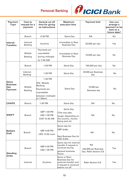

| Payment<br><b>Type</b>                    | How to<br>request for a<br>payment | General cut off<br>time for giving<br>us instructions                                                     | Maximum<br>execution time                                                                                            | <b>Payment limit</b>                                        | Can you<br>arrange a<br>payment to be<br>sent on a<br>future date? |
|-------------------------------------------|------------------------------------|-----------------------------------------------------------------------------------------------------------|----------------------------------------------------------------------------------------------------------------------|-------------------------------------------------------------|--------------------------------------------------------------------|
|                                           | <b>Branch</b>                      | 4:30 PM                                                                                                   | Same Day                                                                                                             | <b>NA</b>                                                   | No                                                                 |
| Internal<br><b>Transfers</b>              | Internet<br><b>Banking</b>         | Anytime                                                                                                   | Immediate to Next<br><b>Business Day</b>                                                                             | 20,000 per day                                              | Yes                                                                |
|                                           | Mobile<br><b>Banking</b>           | Payments are<br>unavailable<br>during midnight<br>to 7:00 AM                                              | Immediate to Next<br><b>Business Day</b>                                                                             | 10,000 per day                                              | No                                                                 |
|                                           | <b>Branch</b>                      | 1:00 PM                                                                                                   | Same Day                                                                                                             | 100,000 per day                                             | No                                                                 |
|                                           | Internet<br><b>Banking</b>         | 1:00 PM                                                                                                   | Same Day                                                                                                             | 20,000 per Business<br>day                                  | No                                                                 |
| Same<br><b>Business</b><br>Day<br>Payment | Mobile<br><b>Banking</b>           | 1:00 PM<br>(PS: Mobile<br><b>Banking</b><br>Payments are<br>unavailable<br>between midnight<br>to 7.00am) | Same Day                                                                                                             | 10,000 per<br><b>Business day</b>                           | No                                                                 |
| <b>CHAPS</b>                              | <b>Branch</b>                      | 1:00 PM                                                                                                   | Same Day                                                                                                             | <b>NA</b>                                                   | No                                                                 |
| <b>SWIFT</b>                              | <b>Branch</b>                      | GBP 1:00 PM<br><b>USD 1:00 PM</b><br>EUR 10:30 AM                                                         | Same Day<br>This may take<br>longer depending on<br>the country, money<br>being sent to)                             | <b>NA</b>                                                   | No                                                                 |
| <b>Bankers</b><br><b>Draft</b>            | <b>Branch</b>                      | GBP 4:00 PM<br>USD 12:00 noon                                                                             | Same day for<br><b>GBP</b> drafts.<br>Next Business Day for<br>USD drafts                                            | <b>NA</b>                                                   | No                                                                 |
| Standing                                  | <b>Branch</b>                      | GBP 4:00 PM<br><b>USD 1:00 PM</b>                                                                         | Same day for internal<br>transfer if request is<br>received during<br>general business<br>hours.                     | <b>NA</b><br>£20,000 per Business<br>Day. Refer Section D.8 | Yes                                                                |
| Order                                     | Internet                           | Anytime                                                                                                   | <b>Same or Next</b><br><b>Business Day for</b><br>external transfer and<br>if request is received<br>before cut off. | <b>Refer Section D.8</b>                                    | Yes                                                                |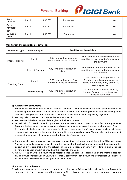

| Cash<br>Deposit               | <b>Branch</b> | 4:30 PM | Immediate | N <sub>o</sub> |
|-------------------------------|---------------|---------|-----------|----------------|
| Cash<br>Payment               | <b>Branch</b> | 4:30 PM | Immediate | No             |
| <b>INR</b><br>Demand<br>Draft | <b>Branch</b> | 4:00 PM | Same day  | <b>NA</b>      |

#### Modification and cancellation of payments

| <b>Payment Type</b>   | <b>Request Type</b> | <b>Modification/ Cancellation</b>                       |                                                                                                                                      |  |
|-----------------------|---------------------|---------------------------------------------------------|--------------------------------------------------------------------------------------------------------------------------------------|--|
| Internal Transfer     | <b>Branch</b>       | 12:00 noon, a Business Day<br>before we execute payment | Future dated internet transfer can be<br>modified or cancelled before we send<br>the payment.                                        |  |
|                       | Internet Banking    | Any time before execution<br>date                       | Future dated internet transfer can be<br>modified or cancelled before we send<br>the payment.                                        |  |
| <b>Standing Order</b> | <b>Branch</b>       | 12:00 noon, a Business Day<br>before we execute payment | You can cancel a standing order at our<br>Branches by submitting a request<br>before 12:00 noon, a day before we<br>execute payment. |  |
|                       | Internet Banking    | Any time before execution<br>date                       | You can cancel a standing order by<br>Internet Banking as day before we<br>execute payments.                                         |  |

#### 3) Authorization of Payments

- 1. When we assess whether to make or authorise payments, we may consider any other payments we have made or agreed to make from your Account that day, even if those other payments have not already been deducted from your Account. You must take this into consideration when requesting payments.
- 2. We may delay or refuse to make or authorise a payment if:
- We reasonably believe that you did not give us the instructions or;
- Occasionally, for fraud prevention purposes, we may have to contact you to re-confirm some payments (example, high value payments) or ask for additional security information, if we reasonably suspect fraud or it is prudent in the interests of crime prevention. In such cases we will confirm the transaction by establishing a contact with you as per the information we hold on our records for you. We may decline the payment requests if we are not able to contact you for the safety of your Account.
- 3. If we refuse to make a payment that you have requested, we will inform you of this within 2 Business days. You can also contact us and we will tell you the reasons for the refusal of a payment and the procedure for correcting any errors that led to the refusal (unless a legal reason or certain other limited circumstances beyond our control prevent us providing this information to you).
- 4. We will act upon written instructions or recorded lines (as applicable depending on the method used for giving instructions) received by us. If we reasonably believe that such instructions are incorrect, unauthorised or fraudulent, we will refuse to act upon such instructions.

#### 4) Conduct of your Account

1. When making a payment, you must ensure there is always a sufficient available balance in your Account. In case you enter into a transaction without having sufficient balance, we may allow an unarranged overdraft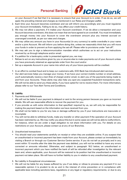

on your Account if we feel that it is necessary to ensure that your Account is in order. If we do so, we will apply the prevailing interest and charges as mentioned in our Rates and Charges Leaflet.

- 2. Each time your Account becomes overdrawn and we will inform you accordingly and you must regularize your Account immediately. Failing to do so, may affect your credit history.
- 3. We may not allow a payment, if it makes your Account overdrawn. If we do allow a transaction and your Account becomes overdrawn, this does not mean that we have agreed to an overdraft. You must immediately pay enough money into your Account to cover the overdrawn amount plus any interest accrued on unarranged overdraft, as per our rates and charges.
- 4. We may utilize any amount you have in your Account(s) (in any currency) to settle overdrafts in your name and/or a joint Account. We will inform you before doing this, unless we reasonably think that you will move your funds in order to prevent us from applying the set-off. Please refer to provisions under "set-off".
- 5. We may ask you to sign a telecommunication mandate which authorises us to act on your instructions received by us through telephone and/or email.
- 6. If a petition for a bankruptcy order is presented against you, we may:
- Refuse to act on any instructions given by you or anyone else to make payments out of your Account unless you have previously obtained an appropriate order from the court and/or
- Set up a separate Account in your name into which any of your future payments will be credited.
- 7. In an effort to combat fraud and to keep our customers safe, ICICI Bank has introduced alert services.
- Our alert services helps you manage your money. If we have your correct mobile number or email address, you'll automatically receive a text (free of charge) and/or email, to alert you of the payments being made to and from your Accounts. These alerts may also help you spot any suspected fraudulent transactions early. We will not be able to send you these alerts, if you have opted for not to receive them. For more information, please refer to our Text Alert Terms and Conditions.

#### 5) Liability

- 1. Payments and Withdrawals
- We will not be liable if your payment is delayed or sent to the wrong person because you gave us incorrect details. We will use reasonable efforts to recover the payment for you.
- If you provide us with extra information to that specified/ required by us, we will only be responsible for making the payment based on the information we have received from you.
- We shall not be liable to you for any loss or damage suffered by you if your instructions are inaccurate or incomplete
- You will not be able to withdraw funds, make any transfer or other payment if the operation of your Account has been restricted by us. We may notify you about this but in some cases we will not be able to notify/inform, for instance, when we are under a legal obligation to not share information with you. For details on any restrictions on your Account, please contact us at any of our Branches.
- 2. Unauthorized transactions
- You should read your statements carefully on receipt or when they are available online. If you suspect that an unauthorised or incorrect payment has been made from your Account, please contact us immediately by visiting a Branch or through our Customer Service Centre service. If you do not tell us promptly and in any event within 13 months after the date the payment was debited, you will not be entitled to have any errors corrected or amounts refunded. Otherwise, and subject to paragraph 18.2 below, an unauthorised or incorrect payment which you have notified the bank of will be refunded after investigation by the relevant team and, where applicable, your Account will be restored to its position had the unauthorised or incorrect payment not taken place. We will have no further liability to you in relation to any unauthorised payment.
- 3. No Liability in Exceptional circumstances:
- We will not be liable for any losses suffered by you if we delay or refuse to process any payment if in our reasonable opinion it is prudent to do so and in the interest of crime prevention or in compliance with applicable laws including sanctions laws, regulations or any legal or regulatory requirements; or due to any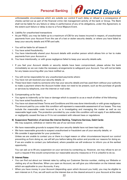

unforeseeable circumstances which are outside our control if such delay or refusal is a consequence of checks carried out as part of the financial crime risk management activity of the bank or Group. The Bank shall not be liable for any failure or delay in performance of any of its obligations, under this Agreement, to the extent such failure or delay is due to a Force Majeure Event.

- 4. Liability for unauthorised transactions
- As per PSD2, you may be liable up to a maximum of £35 for any losses incurred in respect, of unauthorised payments from your Account From the use of a lost or stolen security details; or where you have failed to keep your security details and ATM card safe.
- You will be liable for all losses if:
- i. You have acted fraudulently;
- ii. You have intentionally shared your Account details with another person which allows him or her to make payments from your Account or
- iii. You have intentionally; or with gross negligence failed to keep your security details safe.
- If you feel your Account details or security details have been compromised, please advise the bank immediately so we can make the necessary arrangements to safeguard your Account. You will not be liable for any losses occurring after you have notified us.
- You will not be responsible for any unauthorised payments where:
- i. You have not yet received your security details; or
- ii. These have been made by someone who has your security details and has used them without your authority to make a payment where the Account holder does not need to be present, such as the purchase of goods or services by telephone, over the internet or mail order.
- 5. Compensating us for loss
- You agree to indemnify us for loss or damage which is caused to us as a result of either of the following:
- i. You have acted fraudulently; or
- ii. You have not observed these Terms and Conditions and this was done intentionally or with gross negligence. The amount paid by you under this condition will represent a reasonable assessment of our losses. This may include the reasonable costs incurred by us in investigating and managing the matter as well as our reasonable legal costs. The protection provided by you under this condition will not apply if we deliberately or negligently caused the loss or if it is not consistent with relevant laws or regulations
- 6) Suspension/ Restriction of services like Internet Banking, Telephone Services, Debit Cards:

We may suspend, withdraw or restrict the use of our services where:

- We have reasonable grounds to suspect that your security details have not been kept safe;
- We have reasonable grounds to suspect unauthorised or fraudulent use of your security details; or
- We consider it appropriate for your protection.

Unless we are unable to contact you or there is a legal reason or other circumstances beyond our control preventing us from doing so, we will tell you before taking this action and provide our reasons for doing so. If we are unable to contact you beforehand, where possible we will endevour to inform you at the earliest opportunity.

You can ask us to lift any suspension on your services by contacting us. However, we may refuse to act on such a request if this would compromise our reasonable security measures or if it is unlawful to do so.

#### 7) Interest Rates

- You can find out about our interest rates by calling our Customer Service number, visiting our Website or visiting any of our Branches. When you open an Account, we will give you information on the interest rates which are applicable to your Accounts, if any.
- When you have money in your Account (depending upon which Account you hold), you may be eligible to earn interest on it. If so, we will work out the interest due on the cleared amount in your Account at the close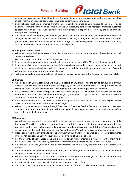

of business every Business Day. The interest, if any, will be paid into your Accounts on the last Business Day of each month, unless specified in respective product terms and conditions.

- Bank will not deduct any income tax from the interest you have earned on your Account(s). Customer has to do self-assessment on their own to comply with the UK tax return; Bank issues Interest certificate to customer to assist them in tax filing. Also, customer's interest details are reported to HMRC by the bank annually through BBSI reporting.
- You must update us with any changes in your status or information such as your residential address or changes that are relevant to your tax affairs. Some services may no longer be available if your status changes (for example, if you become resident in another country). We may be required to pass information about you, directly or indirectly, to tax authorities or any other regulator.

#### 8) Changes to Interest Rates:

- When we change the interest rates on your Accounts, we will update the information with our Branches, call centre and Website.
- We may change interest rates applied to your Account:
- i. If the change is to your advantage, we will tell you about the change within 30 days of the change and
- ii. If the change is to your disadvantage, we will inform you before any other changes about in advance a period of 30 days. If you are dissatisfied with the changes, you will have a right to switch or close your Account without loss of interest or any additional charges.
- iii. A change to a rate of interest would be notified, only where the balance of the Account is more than £100.

#### 9) Charges

- When you open your Account we will give you details of any charges for the day-to-day running of your Account. You can also find out about these charges by calling our customer service, visiting our website or asking our staff. You can download the latest copy of our rates and charges from our Website.
- If we increase any of these charges or introduce a new charge, we will inform you at least two months beforehand. If you are dissatisfied with the changes, you will have a right to switch or close your Account without loss of interest or any additional charges.
- If any amount is due and payable by you which is not paid by the due date, you will be liable to pay interest on such sum, as mentioned in our Rates and Charges.
- When you give us any instructions through Branches or Customer Service Centre, to carry out a transaction or a service where there is a charge, will inform you of the charge and seek your confirmation before proceeding with the instructions.

#### 10)Statements

- We will provide you monthly Account statements for your Accounts, free of cost at a minimum of monthly frequency. We will be sending you an email each month informing you that your bank statement for the previous month is ready to be viewed online. You will be able to access your monthly bank Account statement in a secured PDF format by logging into your Account, online. We will not charge you for this service.
- Please contact us through email, telephone or by visiting our Branches if you wish to receive your statements by post. You can receive your Account statements by post at no extra charge.
- For the security of your Account we will not provide you with statements if your Account is inactive or dormant. Please refer to section B, paragraph 6 for information on Inactive and Dormant Accounts.
- You can ask us to send you a copy of a paper statement we have already provided but we will charge you for this.
- Your statements will show all amounts added to or taken from your Account since the previous statement along with details of individual transactions.
- We may use messages on or with your statements to tell you about changes to any of our Terms and Conditions or to other agreements or services you have with us.
- If you have a joint Account, we will provide the statement to each of you.
- You should read your statements and tell us as soon as possible if you believe there is an incorrect entry.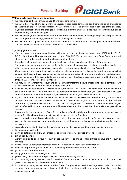

#### 11)Changes to these Terms and Conditions

- We may change these Terms and Conditions from time to time.
- We will advise you of any such changes covered under these terms and conditions including changes to charges which are to your disadvantage, we will inform you at least two months in advance of the changes. If you are dissatisfied with the changes, you will have a right to Switch or close your Account without loss of interest or any additional charges.
- We will advise you of any changes under these terms and conditions, including changes to charges, which are not to your disadvantage, within 30 days of making such change.
- We will provide a copy of the new Terms and Conditions or a summary of the changes, on an annual basis. You can also view these Terms and Conditions on our Website.

#### 12)Closing your Account

- You can close your Account any time by visiting any of our branches or writing to us at ICICI Bank UK PLC, PO Box 68921, One Thomas More Square, London E1W 9HB. You should return any Debit Cards or unused cheques provided to you (cutting both before sending them).
- If you have a joint Account, we would require all joint holders to authorise closure of the Account.
- You must repay any money you owe us, including charges, the amount of any cheques, card transactions or other payment instructions you have made, which have not been taken from your Account.
- Upon closing your account, we will transfer the closure proceeds via Faster Payment to your specified external Bank account. We may also send you the closure proceeds by a Demand Draft, after deducting any money you owe us, if the account address is in the UK. Else, the closure proceeds funds would be transferred through SWIFT or Faster Payment modes.
- We may close your Inactive account and The Bank will transfer the closure proceeds to your external account if in case the balance on your account is more than GBP 1.
- If the balance on your account is less than GBP 1, the Bank will not transfer this remainder amount left in your account. A balance of GBP 1 or below will be considered by the Bank towards your account closure charges and a narration of 'Account Closing Charges' will be reflected in your account statement.
- If your account does not have sufficient balance which takes the SWIFT/ Faster Payment or any other transfer charges, the Bank will not transfer the remainder amount left in your account. These charges will be considered by the Bank towards your account closure charges and a narration of 'Account Closing Charges' will be reflected in your account statement. The credit balance when lower than the transfer charges- will be debited.
- If you require your interest certificate for your Account(s) closed during the current year, you can make a request for this with our Customer Service Centre or any of our Branches.
- We can also close your Account by giving you not less than two months' notice before we close your Account.
- We can also close your Account immediately for any of the reasons below where we believe you have been, or may be:
- i. seriously or persistently broken this agreement and any terms and Conditions applicable in any way;
- ii. have become insolvent;
- iii. using or obtaining, or allowing someone else to use or obtain, a service or money illegally;
- iv. acting fraudulently;
- v. weren't entitled to open your Account or use the service, or are no longer entitled to have the Account or service;
- vi. haven't given us adequate information that we've requested about your liability for tax;
- vii. behaving improperly (for example, in a threatening or abusive manner to our staff);
- viii. giving us false information; or
- ix. using your Account for an illegal purpose.
- x. you're using the Account for a purpose not covered by this agreement;
- xi. by continuing the agreement, we (or another Group Company) may be exposed to action from any government, regulator or law enforcement agency;
- xii. by continuing the agreement, we (or another Group Company) may break a law, regulation, code, court order or other duty, requirement or obligation, including compliance with any internal financial crime risk management activity;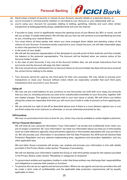

- xiii. there's been a breach of security or misuse of your Account, security details or a payment device; or
- xiv. you're involved in criminal activity whether or not linked to your Account or your relationship with us.
- xv. you're using your Account for purposes relating to betting, gambling, lotteries and such other similar transactions at betting/gambling shops, establishments and over the internet
	- If we plan to close, move or significantly reduce the opening hours of your Branch (by 30% or more), we will tell you at least 12 weeks beforehand. We will also tell you how we will continue to provide Banking services to you, including your nearest Branch.
	- You must inform all third parties with whom you have arranged direct debits and standing orders of the closure of your Account. If someone sends a payment to your closed Account, we will take reasonable steps to return the payment to the sender.
	- In the event of your death:
	- i. We will ask the personal representative of the deceased to provide proof of their authority and then transfer the balance to the personal representative. The Account will be blocked when we receive notice of the Account holder's death.
	- ii. In the case of joint Accounts, if any one of the Account holders dies, we will accept instructions from the survivor(s) and the Account will pass into their name(s).
- iii. We may not permit any withdrawal from an Account where an Account holder has died until we have received the correct forms relating to the estate.
- Your Account cannot be used by any third party for their own purposes. We may refuse to process such transactions or close your Account without notice where we reasonably consider that such third party transactions have occurred in your Account.

#### 13)Set-off

- We may use any credit balance (in any currency) on any Account(s) you hold with us to repay any amounts that you owe us, including amounts you owe us for unauthorised overdrafts on your Accounts, together with any related charges. This applies to Accounts held in your own name or jointly. We will inform you before doing this unless we reasonably think that you will move your funds in order to prevent us from applying setoff.
- We can exercise our right of set-off as described above even if there is a court decision against you or you are fined unless the court instructs us otherwise, or we are otherwise prevented by law.

#### 14)Promotions

We may run promotions from time to time for you, which may only be available to certain eligible customers.

#### 15)Your Personal information:

We will treat all your personal information ("your information") as private and confidential (even when you are no longer a customer). By "your information" we mean any information about you that you or third parties (such as credit reference agencies, fraud prevention agencies or third parties associated with you) provide to us. We will process your information in accordance with the Data Protection Act 2018 and the General Data Protection Regulation and any national implementing laws, regulations and secondary legislation, and any other applicable laws.

We and other Group companies will access, use, analyse and process your information in line with details provided in the Privacy Notice under section 'Purposes of processing'.

We will not disclose your information outside the Group or with third parties except for the reasons provided in the Privacy Notice under section 'Recipients or categories of recipients' :

- To government entities and regulatory bodies in order that those entities may discharge their responsibilities and obligations or exercise their powers or functions
- To persons who act as our agents and service providers. Where we use agents and service providers this will be under a strict code of confidentiality and the applicable data protection requirements will be equally applicable on them.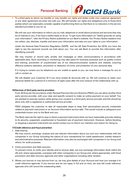

• To a third party to whom we transfer or may transfer our rights and duties under your customer agreement or any other agreement we enter into with you. We will transfer our rights and obligations only to those third parties whom we reasonably consider capable of performing them so that there is no reduction in the service standard provided to you by us.

We will use your information to inform you by mail, telephone or email about products and services that may be of interest to you, if we have a lawful basis to do so. To get more information on "lawful grounds on using your information", refer the Privacy Notice published on our Bank's website. Our Privacy Notice explains how we collect, use, disclose, transfer and store your information and sets out your rights to your information.

Under the General Data Protection Regulation (GDPR) and the UK Data Protection Act 2018, you have the right to see the personal records we hold about you. You can ask Bank to provide this information after identifying yourself.

We may monitor or record calls, emails, text messages or other communications in accordance with applicable laws. Such recording or monitoring may take place for business purposes such as quality control and training, prevention of unauthorised use of our telecommunication systems and website, ensuring effective systems operation, prevention or detection of crime, and protection of your personal data.

If in trying to contact you by telephone we are unable to speak to you, we may leave a message for you to call or contact us.

We will disable your Customer ID if you have closed all Accounts with us. We will continue to retain your personal details for a period of a minimum of eight years after the end /closure of the relationship with us.

#### 16)Services of third party service providers

From 2019 as per the provisions under Revised Payment Service Directive (PSD2) you can allow another third party service provider, with your clear and specific consent to make an online payment on your behalf. You are advised to exercise caution while giving your consent to a third party service provider and this should be done only with a registered or authorized service provider.

PSD2 obligates the customer to take all reasonable steps to keep their personalized security credentials related to payment instrument or an Account information service safe. This would include to safeguard your credentials known only to the Bank and you.

The Bank reserves the right to stop or block a payment instrument when we have reasonable grounds relating to its security, suspected, unauthorized or fraudulent use of payment instrument. However, before blocking or stopping a payment instrument we would contact you to inform our intention and reason for doing so.

#### 17)Credit reference and fraud prevention

1. Data sharing

We may record, exchange, analyse and use relevant information about you and your relationships with the companies in our Group (including the nature of your transactions) for credit assessment, market research and administrative purposes. Relevant information may also be exchanged with companies in our Group and others, for audit purposes.

#### 2. Crime prevention and debt recovery

To prevent crime, to verify your identity and to recover debt, we may exchange information (both within the UK and, where appropriate, overseas) with other companies in our Group and, where appropriate, with fraud prevention and debt recovery agencies and other organisations including other lenders.

3. Where you borrow or may borrow from us, we may give details of your Account and how you manage it to credit reference agencies. If you borrow and do not repay in full and on time, we may tell credit reference agencies who will record the outstanding debt.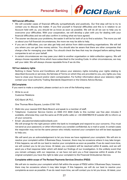

#### 18)Financial difficulties

- We will consider cases of financial difficulty sympathetically and positively. Our first step will be to try to contact you to discuss the matter. If you find yourself in financial difficulties and this is in relation to an Account held with us, you should let us know as soon as possible. We will do all we can to help you to overcome your difficulties. With your cooperation, we will develop a plan with you for dealing with your financial difficulties and we will also confirm in writing what we have agreed.
- The sooner we discuss your problems, the easier it will be for both of us to find a solution. The more you tell us about your full financial circumstances, the more we may be able to help.
- If you are in difficulties, you can also get help and advice from debt-counselling organisations. We will tell you where you can get free money advice. You should also be aware that there are other companies that charge a fee for managing your debts. You should check the fees that may be charged before asking these companies to act on your behalf.
- In certain circumstances we may pass your debt to another organisation or debt-collection agency. We will always choose reputable firms which have subscribed to the Lending Code. In other circumstances, we may sell your debt. We will always choose reputable firms if we do this.

#### 19)Your statutory rights

Nothing in these Terms and Conditions will reduce your statutory rights including your rights relating to described Accounts or services, the fairness of Terms on which they are provided to you, any rights you may have to close your Account and/or claim compensation. For further information about your statutory rights contact your local authority Trading Standards Department or the Citizens Advice Bureau.

#### 20)Complaints

If you want to make a complaint, please contact us in one of the following ways:

• Write to us at: Customer Relations

ICICI Bank UK PLC,

One Thomas More Square, London E1W 1YN

- Walk into your nearest ICICI Bank Branch and speak to a member of staff.
- Telephone: Customer Service Centre on 0344 412 4444 (Calls to this number use free plan minutes if available, otherwise they cost the same as 01/02 prefix calls) or +44 2034785319 (if outside UK) to inform us of your concerns.
- Email: ukcustomerrelations@icicibank.com

We will arrange for the right person within the bank to investigate and respond to your concerns. (You must not send us your password, or other information you consider confidential, by e-mail or post). In certain cases the responder may not be the same person who initially received your complaint but will be best equipped to help you.

We will send you an acknowledgement to let you know we have registered your complaint. We will aim to resolve your complaint within 3 Business Days, however, there may be occasions where it may take longer. If this happens, we will do our best to resolve your complaints as soon as possible. If we do need more time, we will contact you to let you know. At latest, you complaint will be resolved within 8 weeks, and we will send you a final response letter which will detail our findings of our investigation. In the unlikely event that you remain unhappy with our response, or we have not sent you a final response within 8 weeks of the original complaint you have the right to take your complaint to the Financial Ombudsman Service.

#### Complaints within scope of The Revised Payments Services Directive (PSD2)

We will aim to resolve your complaint which fall within the scope of PSD2 within 3 Business Days, however, there may be occasions where it may take longer. If this happens, we will do our best to resolve your complaints as soon as possible. If we do need more time, we will contact you to let you know. At latest, your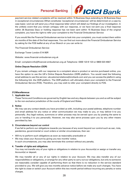

payment service related complaints will be resolved within 15 Business Days extending to 35 Business Days in exceptional circumstances (What constitutes 'exceptional circumstances' will be determined on a case by case basis ) and we will send you a final response letter which will detail our findings of our investigation. In the unlikely event that you remain unhappy with our response, or we have not sent you a final response within 35 Business Days or holding response has not been sent within 15 Business Days of the original complaint, you have the right to refer your complaint to the Financial Ombudsman Service

If you would like the Financial Ombudsman service to look into your complaint, you must contact them within six months of the date of the final responses. You can find out more about the Financial Ombudsman Service by asking for the FOS leaflet at any of our Branch or you can write to:

The Financial Ombudsman Service

Exchange Tower London E14 9SR

Website: www.financial-ombudsman.org.uk

Email: complaint.info@financial-ombudsman.org.uk Telephone: 0300 123 9 123 or 0800 023 4567

#### Online Dispute Resolution (ODR)

If you remain unhappy with our response to a complaint about a product or service purchased online, you have the option to use the UK's Online Dispute Resolution (ODR) platform. You would need the following email address to use this service: ukcustomerrelations@icicibank.com and you can access the platform using the following link -the ODR platform. The ODR platform will ultimately share your complaint to the Financial Ombudsman Service (FOS). Therefore, you may wish to refer your complaint directly to FOS.

#### 21)Miscellaneous

#### 1. Applicable law

These Terms and Conditions are governed by English law and any dispute between you and us will be subject to the non-exclusive jurisdiction of the courts of England and Wales.

#### 2. Notice

We may use any contact details you have provided us with, including your postal address, telephone number and email address for any notice or other communication we may make to you, or may deliver it to you personally. Any legal notices, summons or other process may be served upon you by posting the same to you or handing it to you personally. However, we may also serve process upon you by any other means permitted by law.

#### 3. Circumstances beyond our control

If we fail to perform our obligations towards you because of any event beyond our control such as war, riots, pandemics, governmental or court orders or similar circumstances, then we:

- Will try to perform such obligations as soon as reasonably practicable or
- We may close your Account by giving you two months' notice. In such circumstances, you may also terminate this contract without any penalty.

#### 4. Transfer of rights and obligations

You may not transfer any of your rights or obligations in relation to your Account(s) or assign or transfer any Account(s) or deposit.

We may transfer all or any of our rights in relation to your Account. We may also transfer any of our responsibilities or obligations, or arrange for any other party to carry out our obligations, but only to someone we reasonably consider capable of performing them so that there is no reduction in the service standard provided to you. We will give you two months advance notice before we make any such changes. You have the right to close or switch your Account within this two month period without incurring any penalty or extra charges.